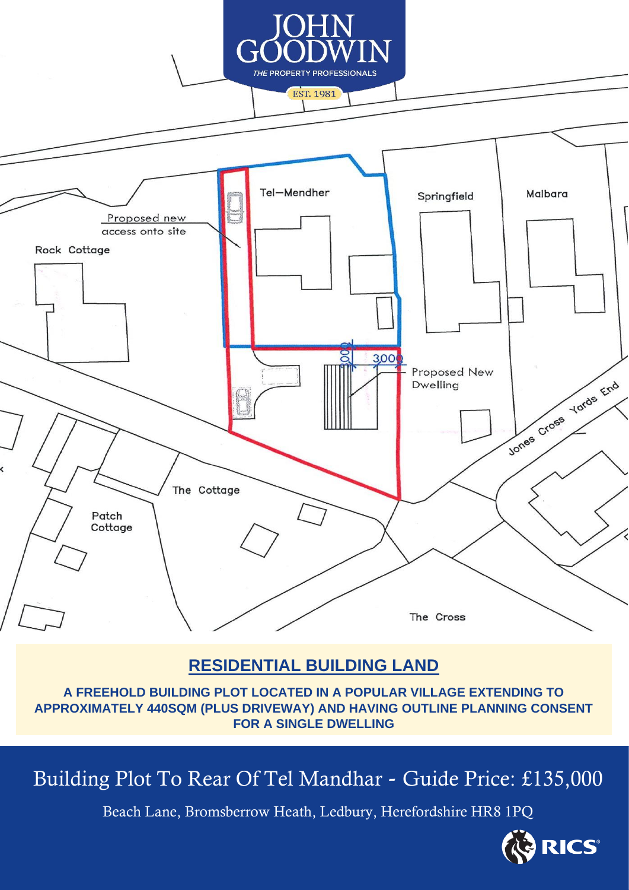

### **RESIDENTIAL BUILDING LAND**

**A FREEHOLD BUILDING PLOT LOCATED IN A POPULAR VILLAGE EXTENDING TO APPROXIMATELY 440SQM (PLUS DRIVEWAY) AND HAVING OUTLINE PLANNING CONSENT FOR A SINGLE DWELLING**

# Building Plot To Rear Of Tel Mandhar - Guide Price: £135,000

Beach Lane, Bromsberrow Heath, Ledbury, Herefordshire HR8 1PQ

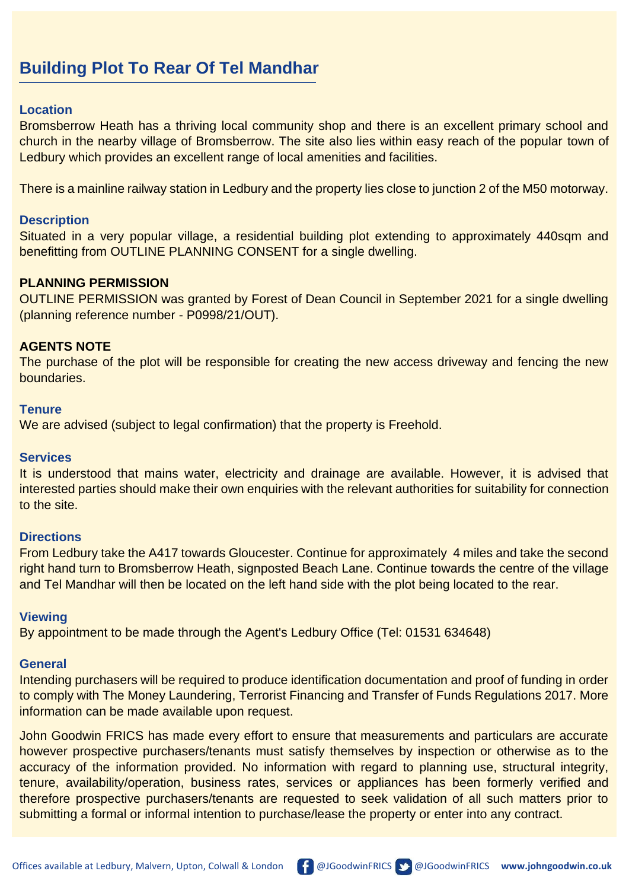## **Building Plot To Rear Of Tel Mandhar**

#### **Location**

Bromsberrow Heath has a thriving local community shop and there is an excellent primary school and church in the nearby village of Bromsberrow. The site also lies within easy reach of the popular town of Ledbury which provides an excellent range of local amenities and facilities.

There is a mainline railway station in Ledbury and the property lies close to junction 2 of the M50 motorway.

#### **Description**

Situated in a very popular village, a residential building plot extending to approximately 440sqm and benefitting from OUTLINE PLANNING CONSENT for a single dwelling.

#### **PLANNING PERMISSION**

OUTLINE PERMISSION was granted by Forest of Dean Council in September 2021 for a single dwelling (planning reference number - P0998/21/OUT).

#### **AGENTS NOTE**

The purchase of the plot will be responsible for creating the new access driveway and fencing the new boundaries.

#### **Tenure**

We are advised (subject to legal confirmation) that the property is Freehold.

#### **Services**

It is understood that mains water, electricity and drainage are available. However, it is advised that interested parties should make their own enquiries with the relevant authorities for suitability for connection to the site.

#### **Directions**

From Ledbury take the A417 towards Gloucester. Continue for approximately 4 miles and take the second right hand turn to Bromsberrow Heath, signposted Beach Lane. Continue towards the centre of the village and Tel Mandhar will then be located on the left hand side with the plot being located to the rear.

#### **Viewing**

By appointment to be made through the Agent's Ledbury Office (Tel: 01531 634648)

#### **General**

Intending purchasers will be required to produce identification documentation and proof of funding in order to comply with The Money Laundering, Terrorist Financing and Transfer of Funds Regulations 2017. More information can be made available upon request.

John Goodwin FRICS has made every effort to ensure that measurements and particulars are accurate however prospective purchasers/tenants must satisfy themselves by inspection or otherwise as to the accuracy of the information provided. No information with regard to planning use, structural integrity, tenure, availability/operation, business rates, services or appliances has been formerly verified and therefore prospective purchasers/tenants are requested to seek validation of all such matters prior to submitting a formal or informal intention to purchase/lease the property or enter into any contract.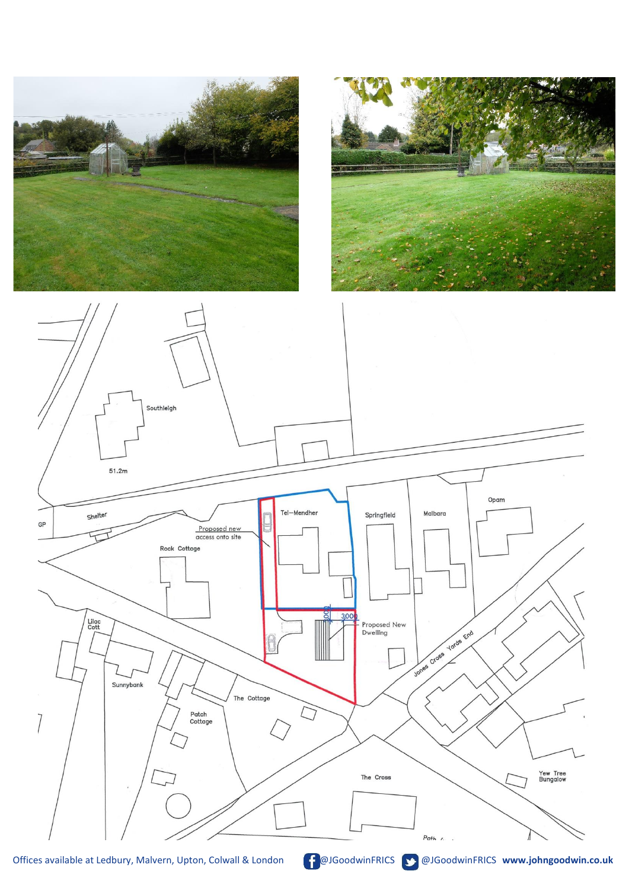





Offices available at Ledbury, Malvern, Upton, Colwall & London **GoodwinFRICS COODWINFRICS www.johngoodwin.co.uk**